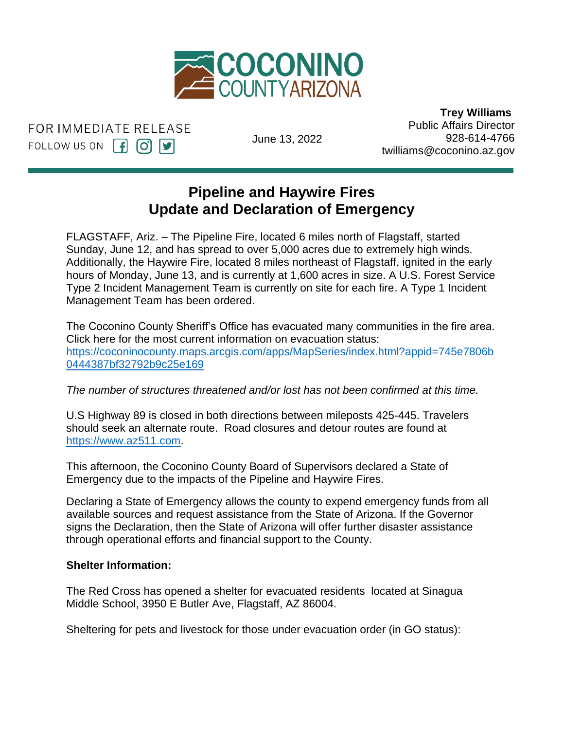

FOR IMMEDIATE RELEASE FOLLOW US ON  $\left[\begin{matrix} 1 \end{matrix}\right]$   $\left[\begin{matrix} 0 \end{matrix}\right]$   $\left[\begin{matrix} 9 \end{matrix}\right]$ 

June 13, 2022

 **Trey Williams** Public Affairs Director 928-614-4766 twilliams@coconino.az.gov

## **Pipeline and Haywire Fires** Update and Declaration of Emergency

FLAGSTAFF, Ariz. - The Pipeline Fire, located 6 miles north of Flagstaff, started Sunday, June 12, and has spread to over 5,000 acres due to extremely high winds. barrady, barrelly, and has optical to ever e, see acres and to extremely ingit times.<br>Additionally, the Haywire Fire, located 8 miles northeast of Flagstaff, ignited in the early hours of Monday, June 13, and is currently at 1,600 acres in size. A U.S. Forest Service Type 2 Incident Management Team is currently on site for each fire. A Type 1 Incident Management Team has been ordered. o.<br>az.az.

The Coconino County Sheriff's Office has evacuated many communities in the fire area. Click here for the most current information on evacuation status: [https://coconinocounty.maps.arcgis.com/apps/MapSeries/index.html?appid=745e7806b](https://coconinocounty.maps.arcgis.com/apps/MapSeries/index.html?appid=745e7806b0444387bf32792b9c25e169) [0444387bf32792b9c25e169](https://coconinocounty.maps.arcgis.com/apps/MapSeries/index.html?appid=745e7806b0444387bf32792b9c25e169)

*The number of structures threatened and/or lost has not been confirmed at this time.* 

U.S Highway 89 is closed in both directions between mileposts 425-445. Travelers should seek an alternate route. Road closures and detour routes are found at [https://www.az511.com.](https://www.az511.com/)

This afternoon, the Coconino County Board of Supervisors declared a State of Emergency due to the impacts of the Pipeline and Haywire Fires.

Declaring a State of Emergency allows the county to expend emergency funds from all available sources and request assistance from the State of Arizona. If the Governor signs the Declaration, then the State of Arizona will offer further disaster assistance through operational efforts and financial support to the County.

## **Shelter Information:**

The Red Cross has opened a shelter for evacuated residents located at Sinagua Middle School, 3950 E Butler Ave, Flagstaff, AZ 86004.

Sheltering for pets and livestock for those under evacuation order (in GO status):